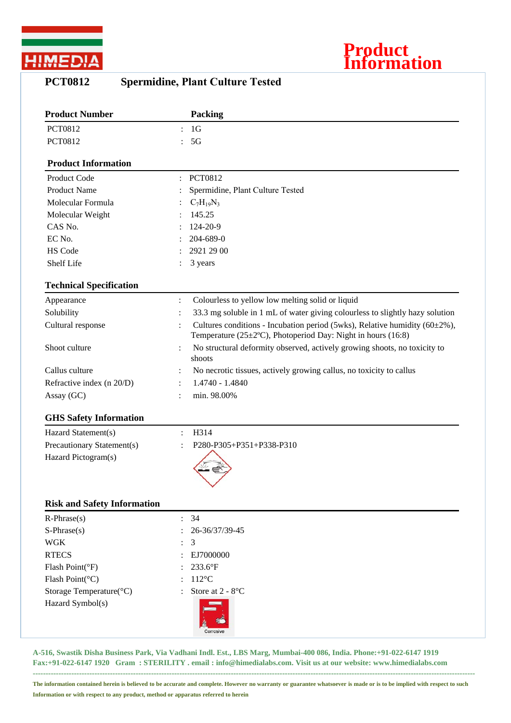

## **Product Information**

| <b>PCT0812</b> | <b>Spermidine, Plant Culture Tested</b> |  |  |  |
|----------------|-----------------------------------------|--|--|--|
|----------------|-----------------------------------------|--|--|--|

| <b>Product Number</b>              |                | Packing                                                                                                                                          |
|------------------------------------|----------------|--------------------------------------------------------------------------------------------------------------------------------------------------|
| <b>PCT0812</b>                     | ÷              | 1 <sub>G</sub>                                                                                                                                   |
| PCT0812                            |                | 5G                                                                                                                                               |
| <b>Product Information</b>         |                |                                                                                                                                                  |
| Product Code                       |                | <b>PCT0812</b>                                                                                                                                   |
| <b>Product Name</b>                |                | Spermidine, Plant Culture Tested                                                                                                                 |
| Molecular Formula                  |                | $C_7H_{19}N_3$                                                                                                                                   |
| Molecular Weight                   |                | 145.25                                                                                                                                           |
| CAS No.                            |                | 124-20-9                                                                                                                                         |
| EC No.                             |                | 204-689-0                                                                                                                                        |
| HS Code                            |                | 2921 29 00                                                                                                                                       |
| Shelf Life                         |                | 3 years                                                                                                                                          |
| <b>Technical Specification</b>     |                |                                                                                                                                                  |
| Appearance                         | $\ddot{\cdot}$ | Colourless to yellow low melting solid or liquid                                                                                                 |
| Solubility                         |                | 33.3 mg soluble in 1 mL of water giving colourless to slightly hazy solution                                                                     |
| Cultural response                  |                | Cultures conditions - Incubation period (5wks), Relative humidity (60 $\pm$ 2%),<br>Temperature (25±2°C), Photoperiod Day: Night in hours (16:8) |
| Shoot culture                      |                | No structural deformity observed, actively growing shoots, no toxicity to<br>shoots                                                              |
| Callus culture                     |                | No necrotic tissues, actively growing callus, no toxicity to callus                                                                              |
| Refractive index (n 20/D)          |                | 1.4740 - 1.4840                                                                                                                                  |
| Assay (GC)                         |                | min. 98.00%                                                                                                                                      |
| <b>GHS Safety Information</b>      |                |                                                                                                                                                  |
| Hazard Statement(s)                | $\ddot{\cdot}$ | H314                                                                                                                                             |
| Precautionary Statement(s)         |                | P280-P305+P351+P338-P310                                                                                                                         |
| Hazard Pictogram(s)                |                |                                                                                                                                                  |
| <b>Risk and Safety Information</b> |                |                                                                                                                                                  |
| $R$ -Phrase $(s)$                  |                | 34                                                                                                                                               |
| $S-Phrase(s)$                      |                | 26-36/37/39-45                                                                                                                                   |
| <b>WGK</b>                         |                | 3                                                                                                                                                |
| <b>RTECS</b>                       |                | EJ7000000                                                                                                                                        |
| Flash Point(°F)                    |                | 233.6°F                                                                                                                                          |
| Flash Point(°C)                    |                | $112^{\circ}$ C                                                                                                                                  |
| Storage Temperature(°C)            |                | Store at 2 - 8°C                                                                                                                                 |
| Hazard Symbol(s)                   |                |                                                                                                                                                  |

**A-516, Swastik Disha Business Park, Via Vadhani Indl. Est., LBS Marg, Mumbai-400 086, India. Phone:+91-022-6147 1919 Fax:+91-022-6147 1920 Gram : STERILITY . email : info@himedialabs.com. Visit us at our website: www.himedialabs.com ----------------------------------------------------------------------------------------------------------------------------------------------------------------------------**

**The information contained herein is believed to be accurate and complete. However no warranty or guarantee whatsoever is made or is to be implied with respect to such Information or with respect to any product, method or apparatus referred to herein**